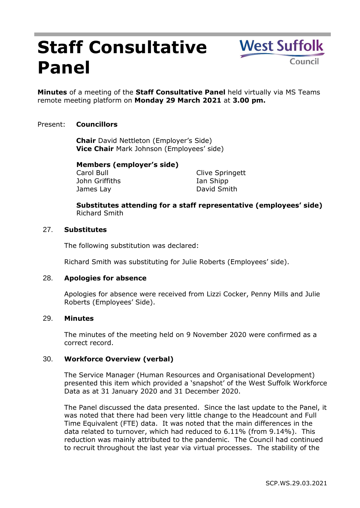# **Staff Consultative Panel**

**West Suffolk** Counci

**Minutes** of a meeting of the **Staff Consultative Panel** held virtually via MS Teams remote meeting platform on **Monday 29 March 2021** at **3.00 pm.**

# Present: **Councillors**

**Chair** David Nettleton (Employer's Side) **Vice Chair** Mark Johnson (Employees' side)

# **Members (employer's side)**

Carol Bull John Griffiths James Lay

Clive Springett Ian Shipp David Smith

**Substitutes attending for a staff representative (employees' side)** Richard Smith

## 27. **Substitutes**

The following substitution was declared:

Richard Smith was substituting for Julie Roberts (Employees' side).

## 28. **Apologies for absence**

Apologies for absence were received from Lizzi Cocker, Penny Mills and Julie Roberts (Employees' Side).

## 29. **Minutes**

The minutes of the meeting held on 9 November 2020 were confirmed as a correct record.

## 30. **Workforce Overview (verbal)**

The Service Manager (Human Resources and Organisational Development) presented this item which provided a 'snapshot' of the West Suffolk Workforce Data as at 31 January 2020 and 31 December 2020.

The Panel discussed the data presented. Since the last update to the Panel, it was noted that there had been very little change to the Headcount and Full Time Equivalent (FTE) data. It was noted that the main differences in the data related to turnover, which had reduced to 6.11% (from 9.14%). This reduction was mainly attributed to the pandemic. The Council had continued to recruit throughout the last year via virtual processes. The stability of the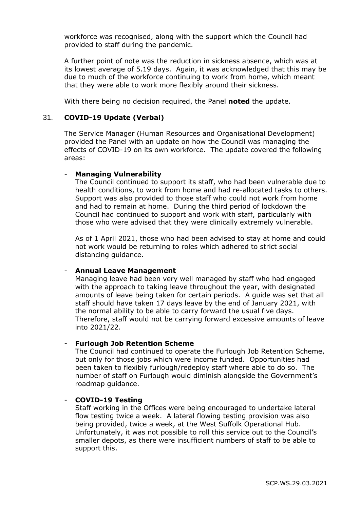workforce was recognised, along with the support which the Council had provided to staff during the pandemic.

A further point of note was the reduction in sickness absence, which was at its lowest average of 5.19 days. Again, it was acknowledged that this may be due to much of the workforce continuing to work from home, which meant that they were able to work more flexibly around their sickness.

With there being no decision required, the Panel **noted** the update.

## 31. **COVID-19 Update (Verbal)**

The Service Manager (Human Resources and Organisational Development) provided the Panel with an update on how the Council was managing the effects of COVID-19 on its own workforce. The update covered the following areas:

#### - **Managing Vulnerability**

The Council continued to support its staff, who had been vulnerable due to health conditions, to work from home and had re-allocated tasks to others. Support was also provided to those staff who could not work from home and had to remain at home. During the third period of lockdown the Council had continued to support and work with staff, particularly with those who were advised that they were clinically extremely vulnerable.

As of 1 April 2021, those who had been advised to stay at home and could not work would be returning to roles which adhered to strict social distancing guidance.

#### - **Annual Leave Management**

Managing leave had been very well managed by staff who had engaged with the approach to taking leave throughout the year, with designated amounts of leave being taken for certain periods. A guide was set that all staff should have taken 17 days leave by the end of January 2021, with the normal ability to be able to carry forward the usual five days. Therefore, staff would not be carrying forward excessive amounts of leave into 2021/22.

#### - **Furlough Job Retention Scheme**

The Council had continued to operate the Furlough Job Retention Scheme, but only for those jobs which were income funded. Opportunities had been taken to flexibly furlough/redeploy staff where able to do so. The number of staff on Furlough would diminish alongside the Government's roadmap guidance.

#### - **COVID-19 Testing**

Staff working in the Offices were being encouraged to undertake lateral flow testing twice a week. A lateral flowing testing provision was also being provided, twice a week, at the West Suffolk Operational Hub. Unfortunately, it was not possible to roll this service out to the Council's smaller depots, as there were insufficient numbers of staff to be able to support this.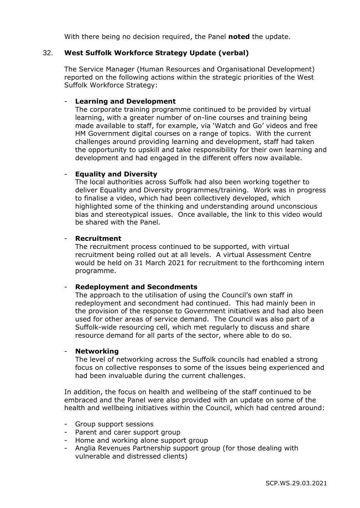With there being no decision required, the Panel **noted** the update.

## 32. **West Suffolk Workforce Strategy Update (verbal)**

The Service Manager (Human Resources and Organisational Development) reported on the following actions within the strategic priorities of the West Suffolk Workforce Strategy:

#### - **Learning and Development**

The corporate training programme continued to be provided by virtual learning, with a greater number of on-line courses and training being made available to staff, for example, via 'Watch and Go' videos and free HM Government digital courses on a range of topics. With the current challenges around providing learning and development, staff had taken the opportunity to upskill and take responsibility for their own learning and development and had engaged in the different offers now available.

## - **Equality and Diversity**

The local authorities across Suffolk had also been working together to deliver Equality and Diversity programmes/training. Work was in progress to finalise a video, which had been collectively developed, which highlighted some of the thinking and understanding around unconscious bias and stereotypical issues. Once available, the link to this video would be shared with the Panel.

#### - **Recruitment**

The recruitment process continued to be supported, with virtual recruitment being rolled out at all levels. A virtual Assessment Centre would be held on 31 March 2021 for recruitment to the forthcoming intern programme.

## - **Redeployment and Secondments**

The approach to the utilisation of using the Council's own staff in redeployment and secondment had continued. This had mainly been in the provision of the response to Government initiatives and had also been used for other areas of service demand. The Council was also part of a Suffolk-wide resourcing cell, which met regularly to discuss and share resource demand for all parts of the sector, where able to do so.

## - **Networking**

The level of networking across the Suffolk councils had enabled a strong focus on collective responses to some of the issues being experienced and had been invaluable during the current challenges.

In addition, the focus on health and wellbeing of the staff continued to be embraced and the Panel were also provided with an update on some of the health and wellbeing initiatives within the Council, which had centred around:

- Group support sessions
- Parent and carer support group
- Home and working alone support group
- Anglia Revenues Partnership support group (for those dealing with vulnerable and distressed clients)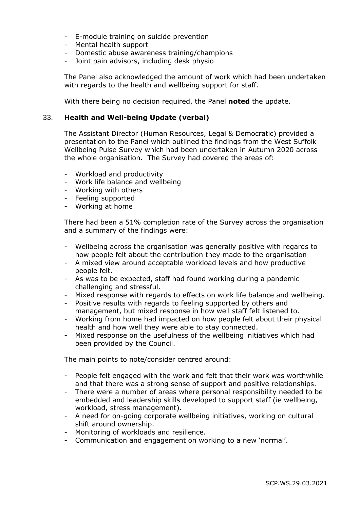- E-module training on suicide prevention
- Mental health support
- Domestic abuse awareness training/champions
- Joint pain advisors, including desk physio

The Panel also acknowledged the amount of work which had been undertaken with regards to the health and wellbeing support for staff.

With there being no decision required, the Panel **noted** the update.

## 33. **Health and Well-being Update (verbal)**

The Assistant Director (Human Resources, Legal & Democratic) provided a presentation to the Panel which outlined the findings from the West Suffolk Wellbeing Pulse Survey which had been undertaken in Autumn 2020 across the whole organisation. The Survey had covered the areas of:

- Workload and productivity
- Work life balance and wellbeing
- Working with others
- Feeling supported
- Working at home

There had been a 51% completion rate of the Survey across the organisation and a summary of the findings were:

- Wellbeing across the organisation was generally positive with regards to how people felt about the contribution they made to the organisation
- A mixed view around acceptable workload levels and how productive people felt.
- As was to be expected, staff had found working during a pandemic challenging and stressful.
- Mixed response with regards to effects on work life balance and wellbeing.
- Positive results with regards to feeling supported by others and management, but mixed response in how well staff felt listened to.
- Working from home had impacted on how people felt about their physical health and how well they were able to stay connected.
- Mixed response on the usefulness of the wellbeing initiatives which had been provided by the Council.

The main points to note/consider centred around:

- People felt engaged with the work and felt that their work was worthwhile and that there was a strong sense of support and positive relationships.
- There were a number of areas where personal responsibility needed to be embedded and leadership skills developed to support staff (ie wellbeing, workload, stress management).
- A need for on-going corporate wellbeing initiatives, working on cultural shift around ownership.
- Monitoring of workloads and resilience.
- Communication and engagement on working to a new 'normal'.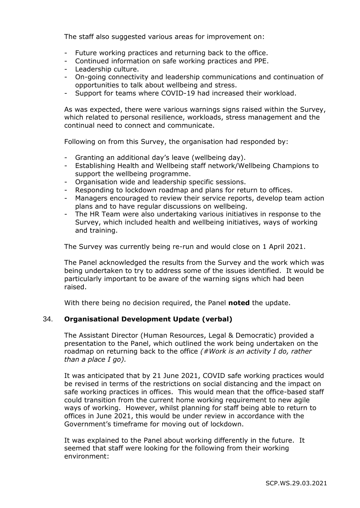The staff also suggested various areas for improvement on:

- Future working practices and returning back to the office.
- Continued information on safe working practices and PPE.
- Leadership culture.
- On-going connectivity and leadership communications and continuation of opportunities to talk about wellbeing and stress.
- Support for teams where COVID-19 had increased their workload.

As was expected, there were various warnings signs raised within the Survey, which related to personal resilience, workloads, stress management and the continual need to connect and communicate.

Following on from this Survey, the organisation had responded by:

- Granting an additional day's leave (wellbeing day).
- Establishing Health and Wellbeing staff network/Wellbeing Champions to support the wellbeing programme.
- Organisation wide and leadership specific sessions.
- Responding to lockdown roadmap and plans for return to offices.
- Managers encouraged to review their service reports, develop team action plans and to have regular discussions on wellbeing.
- The HR Team were also undertaking various initiatives in response to the Survey, which included health and wellbeing initiatives, ways of working and training.

The Survey was currently being re-run and would close on 1 April 2021.

The Panel acknowledged the results from the Survey and the work which was being undertaken to try to address some of the issues identified. It would be particularly important to be aware of the warning signs which had been raised.

With there being no decision required, the Panel **noted** the update.

## 34. **Organisational Development Update (verbal)**

The Assistant Director (Human Resources, Legal & Democratic) provided a presentation to the Panel, which outlined the work being undertaken on the roadmap on returning back to the office *(#Work is an activity I do, rather than a place I go).*

It was anticipated that by 21 June 2021, COVID safe working practices would be revised in terms of the restrictions on social distancing and the impact on safe working practices in offices. This would mean that the office-based staff could transition from the current home working requirement to new agile ways of working. However, whilst planning for staff being able to return to offices in June 2021, this would be under review in accordance with the Government's timeframe for moving out of lockdown.

It was explained to the Panel about working differently in the future. It seemed that staff were looking for the following from their working environment: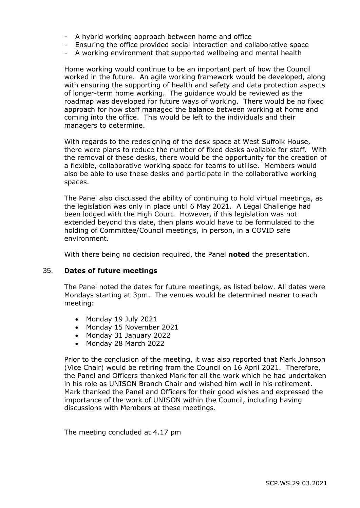- A hybrid working approach between home and office
- Ensuring the office provided social interaction and collaborative space
- A working environment that supported wellbeing and mental health

Home working would continue to be an important part of how the Council worked in the future. An agile working framework would be developed, along with ensuring the supporting of health and safety and data protection aspects of longer-term home working. The guidance would be reviewed as the roadmap was developed for future ways of working. There would be no fixed approach for how staff managed the balance between working at home and coming into the office. This would be left to the individuals and their managers to determine.

With regards to the redesigning of the desk space at West Suffolk House, there were plans to reduce the number of fixed desks available for staff. With the removal of these desks, there would be the opportunity for the creation of a flexible, collaborative working space for teams to utilise. Members would also be able to use these desks and participate in the collaborative working spaces.

The Panel also discussed the ability of continuing to hold virtual meetings, as the legislation was only in place until 6 May 2021. A Legal Challenge had been lodged with the High Court. However, if this legislation was not extended beyond this date, then plans would have to be formulated to the holding of Committee/Council meetings, in person, in a COVID safe environment.

With there being no decision required, the Panel **noted** the presentation.

#### 35. **Dates of future meetings**

The Panel noted the dates for future meetings, as listed below. All dates were Mondays starting at 3pm. The venues would be determined nearer to each meeting:

- Monday 19 July 2021
- Monday 15 November 2021
- Monday 31 January 2022
- Monday 28 March 2022

Prior to the conclusion of the meeting, it was also reported that Mark Johnson (Vice Chair) would be retiring from the Council on 16 April 2021. Therefore, the Panel and Officers thanked Mark for all the work which he had undertaken in his role as UNISON Branch Chair and wished him well in his retirement. Mark thanked the Panel and Officers for their good wishes and expressed the importance of the work of UNISON within the Council, including having discussions with Members at these meetings.

The meeting concluded at 4.17 pm